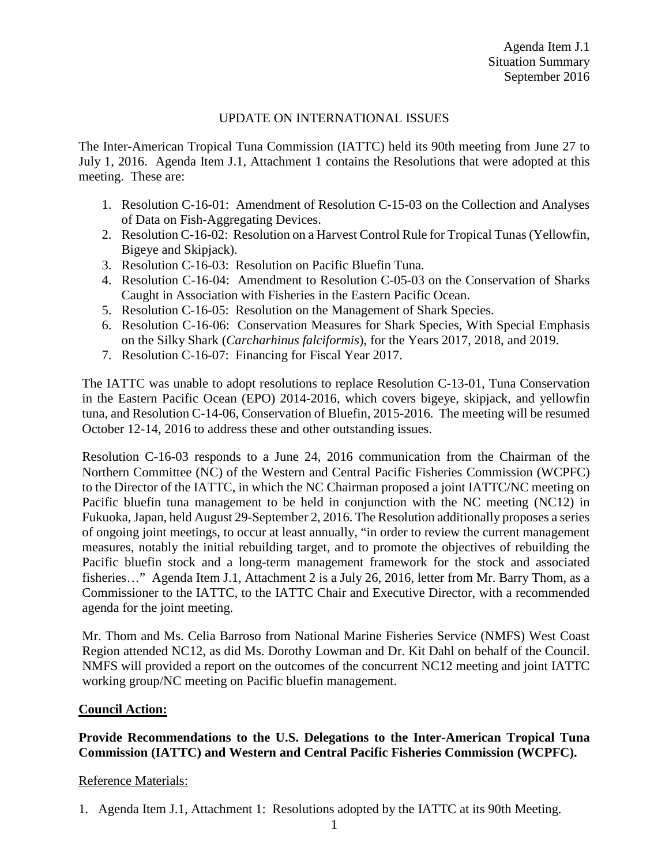## UPDATE ON INTERNATIONAL ISSUES

The Inter-American Tropical Tuna Commission (IATTC) held its 90th meeting from June 27 to July 1, 2016. Agenda Item J.1, Attachment 1 contains the Resolutions that were adopted at this meeting. These are:

- 1. Resolution C-16-01: Amendment of Resolution C-15-03 on the Collection and Analyses of Data on Fish-Aggregating Devices.
- 2. Resolution C-16-02: Resolution on a Harvest Control Rule for Tropical Tunas (Yellowfin, Bigeye and Skipjack).
- 3. Resolution C-16-03: Resolution on Pacific Bluefin Tuna.
- 4. Resolution C-16-04: Amendment to Resolution C-05-03 on the Conservation of Sharks Caught in Association with Fisheries in the Eastern Pacific Ocean.
- 5. Resolution C-16-05: Resolution on the Management of Shark Species.
- 6. Resolution C-16-06: Conservation Measures for Shark Species, With Special Emphasis on the Silky Shark (*Carcharhinus falciformis*), for the Years 2017, 2018, and 2019.
- 7. Resolution C-16-07: Financing for Fiscal Year 2017.

The IATTC was unable to adopt resolutions to replace Resolution C-13-01, Tuna Conservation in the Eastern Pacific Ocean (EPO) 2014-2016, which covers bigeye, skipjack, and yellowfin tuna, and Resolution C-14-06, Conservation of Bluefin, 2015-2016. The meeting will be resumed October 12-14, 2016 to address these and other outstanding issues.

Resolution C-16-03 responds to a June 24, 2016 communication from the Chairman of the Northern Committee (NC) of the Western and Central Pacific Fisheries Commission (WCPFC) to the Director of the IATTC, in which the NC Chairman proposed a joint IATTC/NC meeting on Pacific bluefin tuna management to be held in conjunction with the NC meeting (NC12) in Fukuoka, Japan, held August 29-September 2, 2016. The Resolution additionally proposes a series of ongoing joint meetings, to occur at least annually, "in order to review the current management measures, notably the initial rebuilding target, and to promote the objectives of rebuilding the Pacific bluefin stock and a long-term management framework for the stock and associated fisheries…" Agenda Item J.1, Attachment 2 is a July 26, 2016, letter from Mr. Barry Thom, as a Commissioner to the IATTC, to the IATTC Chair and Executive Director, with a recommended agenda for the joint meeting.

Mr. Thom and Ms. Celia Barroso from National Marine Fisheries Service (NMFS) West Coast Region attended NC12, as did Ms. Dorothy Lowman and Dr. Kit Dahl on behalf of the Council. NMFS will provided a report on the outcomes of the concurrent NC12 meeting and joint IATTC working group/NC meeting on Pacific bluefin management.

## **Council Action:**

**Provide Recommendations to the U.S. Delegations to the Inter-American Tropical Tuna Commission (IATTC) and Western and Central Pacific Fisheries Commission (WCPFC).**

## Reference Materials:

<sup>1.</sup> Agenda Item J.1, Attachment 1: Resolutions adopted by the IATTC at its 90th Meeting.